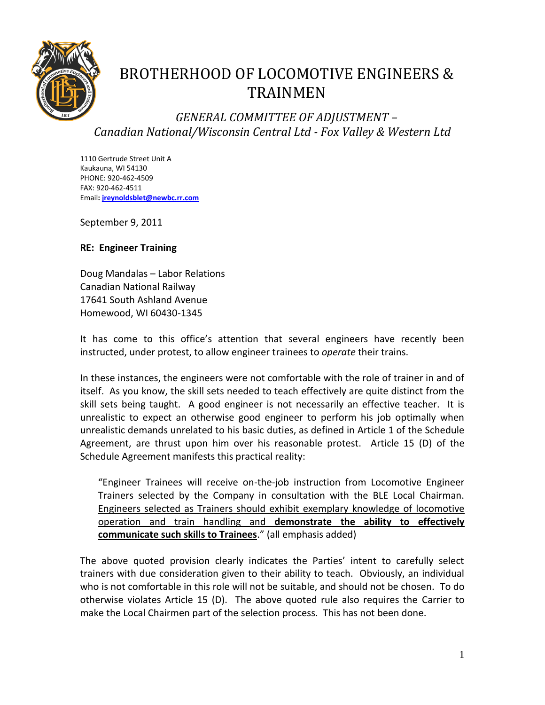

## BROTHERHOOD OF LOCOMOTIVE ENGINEERS & TRAINMEN

## *GENERAL COMMITTEE OF ADJUSTMENT – Canadian National/Wisconsin Central Ltd - Fox Valley & Western Ltd*

1110 Gertrude Street Unit A Kaukauna, WI 54130 PHONE: 920-462-4509 FAX: 920-462-4511 Email**[: jreynoldsblet@newbc.rr.com](mailto:jreynoldblet@newbc.rr.com)**

September 9, 2011

## **RE: Engineer Training**

Doug Mandalas – Labor Relations Canadian National Railway 17641 South Ashland Avenue Homewood, WI 60430-1345

It has come to this office's attention that several engineers have recently been instructed, under protest, to allow engineer trainees to *operate* their trains.

In these instances, the engineers were not comfortable with the role of trainer in and of itself. As you know, the skill sets needed to teach effectively are quite distinct from the skill sets being taught. A good engineer is not necessarily an effective teacher. It is unrealistic to expect an otherwise good engineer to perform his job optimally when unrealistic demands unrelated to his basic duties, as defined in Article 1 of the Schedule Agreement, are thrust upon him over his reasonable protest. Article 15 (D) of the Schedule Agreement manifests this practical reality:

"Engineer Trainees will receive on-the-job instruction from Locomotive Engineer Trainers selected by the Company in consultation with the BLE Local Chairman. Engineers selected as Trainers should exhibit exemplary knowledge of locomotive operation and train handling and **demonstrate the ability to effectively communicate such skills to Trainees**." (all emphasis added)

The above quoted provision clearly indicates the Parties' intent to carefully select trainers with due consideration given to their ability to teach. Obviously, an individual who is not comfortable in this role will not be suitable, and should not be chosen. To do otherwise violates Article 15 (D). The above quoted rule also requires the Carrier to make the Local Chairmen part of the selection process. This has not been done.